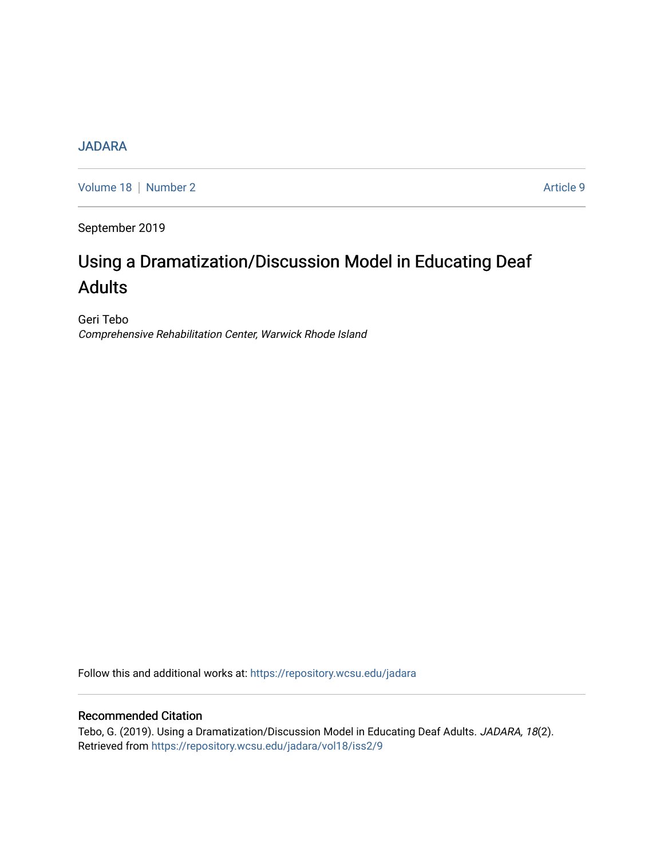# **[JADARA](https://repository.wcsu.edu/jadara)**

[Volume 18](https://repository.wcsu.edu/jadara/vol18) | [Number 2](https://repository.wcsu.edu/jadara/vol18/iss2) Article 9

September 2019

# Using a Dramatization/Discussion Model in Educating Deaf Adults

Geri Tebo Comprehensive Rehabilitation Center, Warwick Rhode Island

Follow this and additional works at: [https://repository.wcsu.edu/jadara](https://repository.wcsu.edu/jadara?utm_source=repository.wcsu.edu%2Fjadara%2Fvol18%2Fiss2%2F9&utm_medium=PDF&utm_campaign=PDFCoverPages)

#### Recommended Citation

Tebo, G. (2019). Using a Dramatization/Discussion Model in Educating Deaf Adults. JADARA, 18(2). Retrieved from [https://repository.wcsu.edu/jadara/vol18/iss2/9](https://repository.wcsu.edu/jadara/vol18/iss2/9?utm_source=repository.wcsu.edu%2Fjadara%2Fvol18%2Fiss2%2F9&utm_medium=PDF&utm_campaign=PDFCoverPages)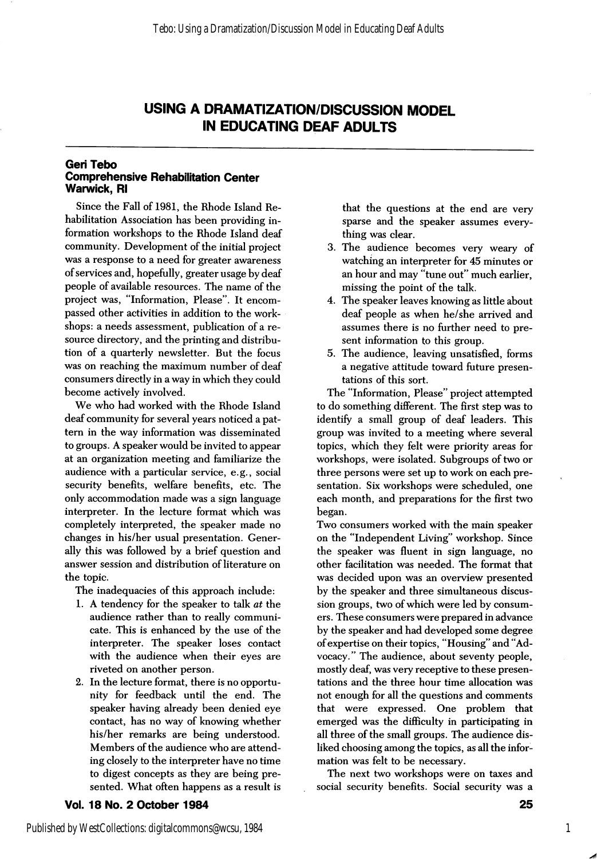### USING A DRAMATIZATION/DISCUSSION MODEL IN EDUCATING DEAF ADULTS

#### Geri Tebo Comprehensive Rehabilitation Center Warwick, Ri

Since the Fall of 1981, the Rhode Island Re habilitation Association has been providing in formation workshops to the Rhode Island deaf community. Development of the initial project was a response to a need for greater awareness of services and, hopefully, greater usage by deaf people of available resources. The name of the project was, "Information, Please". It encom passed other activities in addition to the work shops: a needs assessment, publication of a re source directory, and the printing and distribu tion of a quarterly newsletter. But the focus was on reaching the maximum number of deaf consumers directly in a way in which they could become actively involved.

We who had worked with the Rhode Island deaf community for several years noticed a pat tern in the way information was disseminated to groups. A speaker would be invited to appear at an organization meeting and familiarize the audience with a particular service, e.g., social security benefits, welfare benefits, etc. The only accommodation made was a sign language interpreter. In the lecture format which was completely interpreted, the speaker made no changes in his/her usual presentation. Gener ally this was followed by a brief question and answer session and distribution of literature on the topic.

The inadequacies of this approach include:

- 1. A tendency for the speaker to talk at the audience rather than to really communi cate. This is enhanced by the use of the interpreter. The speaker loses contact with the audience when their eyes are riveted on another person.
- 2. In the lecture format, there is no opportu nity for feedback until the end. The speaker having already been denied eye contact, has no way of knowing whether his/her remarks are being understood. Members of the audience who are attend ing closely to the interpreter have no time to digest concepts as they are being pre sented. What often happens as a result is

Vol. 18 No. 2 October 1984

that the questions at the end are very sparse and the speaker assumes every thing was clear.

- 3. The audience becomes very weary of watching an interpreter for 45 minutes or an hour and may "tune out" much earlier, missing the point of the talk.
- 4. The speaker leaves knowing as little about deaf people as when he/she arrived and assumes there is no further need to pre sent information to this group.
- 5. The audience, leaving unsatisfied, forms a negative attitude toward future presen tations of this sort.

The "Information, Please" project attempted to do something different. The first step was to identify a small group of deaf leaders. This group was invited to a meeting where several topics, which they felt were priority areas for workshops, were isolated. Subgroups of two or three persons were set up to work on each pre sentation. Six workshops were scheduled, one each month, and preparations for the first two began.

Two consumers worked with the main speaker on the "Independent Living" workshop. Since the speaker was fluent in sign language, no other facilitation was needed. The format that was decided upon was an overview presented by the speaker and three simultaneous discus sion groups, two of which were led by consum ers. These consumers were prepared in advance by the speaker and had developed some degree of expertise on their topics, "Housing" and "Ad vocacy." The audience, about seventy people, mostly deaf, was very receptive to these presen tations and the three hour time allocation was not enough for all the questions and comments that were expressed. One problem that emerged was the difficulty in participating in all three of the small groups. The audience dis liked choosing among the topics, as all the infor mation was felt to be necessary.

The next two workshops were on taxes and social security benefits. Social security was a

1